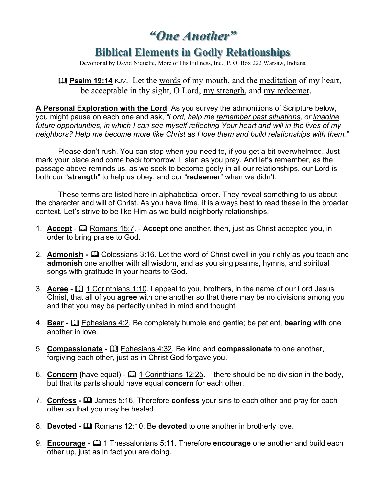*"One Another"*

## **Biblical Elements in Godly Relationships**

Devotional by David Niquette, More of His Fullness, Inc., P. O. Box 222 Warsaw, Indiana

**<u>Exalm 19:14</u>** KJV. Let the words of my mouth, and the meditation of my heart, be acceptable in thy sight, O Lord, my strength, and my redeemer.

**A Personal Exploration with the Lord**: As you survey the admonitions of Scripture below, you might pause on each one and ask, *"Lord, help me remember past situations, or imagine future opportunities, in which I can see myself reflecting Your heart and will in the lives of my neighbors? Help me become more like Christ as I love them and build relationships with them."*

Please don't rush. You can stop when you need to, if you get a bit overwhelmed. Just mark your place and come back tomorrow. Listen as you pray. And let's remember, as the passage above reminds us, as we seek to become godly in all our relationships, our Lord is both our "**strength**" to help us obey, and our "**redeemer**" when we didn't.

These terms are listed here in alphabetical order. They reveal something to us about the character and will of Christ. As you have time, it is always best to read these in the broader context. Let's strive to be like Him as we build neighborly relationships.

- 1. **Accept Q** Romans 15:7. **Accept** one another, then, just as Christ accepted you, in order to bring praise to God.
- 2. **Admonish**  $\Box$  **Colossians 3:16.** Let the word of Christ dwell in you richly as you teach and **admonish** one another with all wisdom, and as you sing psalms, hymns, and spiritual songs with gratitude in your hearts to God.
- 3. **Agree**  $\Box$  1 Corinthians 1:10. I appeal to you, brothers, in the name of our Lord Jesus Christ, that all of you **agree** with one another so that there may be no divisions among you and that you may be perfectly united in mind and thought.
- 4. **Bear -** Ephesians 4:2. Be completely humble and gentle; be patient, **bearing** with one another in love.
- 5. **Compassionate** Ephesians 4:32. Be kind and **compassionate** to one another, forgiving each other, just as in Christ God forgave you.
- 6. **Concern** (have equal) **Q 1 Corinthians 12:25**. there should be no division in the body, but that its parts should have equal **concern** for each other.
- 7. **Confess -** James 5:16. Therefore **confess** your sins to each other and pray for each other so that you may be healed.
- 8. **Devoted -** Romans 12:10. Be **devoted** to one another in brotherly love.
- 9. **Encourage**  $\Box$  1 Thessalonians 5:11. Therefore **encourage** one another and build each other up, just as in fact you are doing.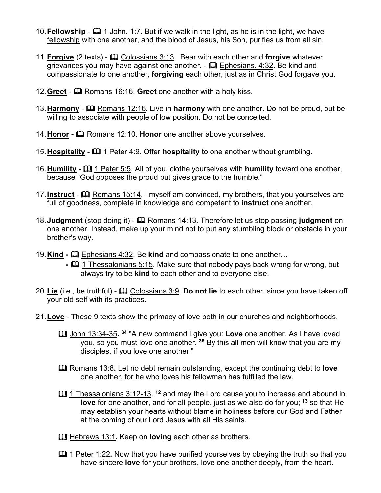- 10. **Fellowship**  $\Box$  1 John. 1:7. But if we walk in the light, as he is in the light, we have fellowship with one another, and the blood of Jesus, his Son, purifies us from all sin.
- 11. **Forgive** (2 texts)  $\Box$  Colossians 3:13. Bear with each other and **forgive** whatever grievances you may have against one another.  $\epsilon \boxtimes$  Ephesians. 4:32. Be kind and compassionate to one another, **forgiving** each other, just as in Christ God forgave you.
- 12. Greet **Q** Romans 16:16. Greet one another with a holy kiss.
- 13. **Harmony Q** Romans 12:16. Live in **harmony** with one another. Do not be proud, but be willing to associate with people of low position. Do not be conceited.
- 14. **Honor**  $\Box$  Romans 12:10. **Honor** one another above yourselves.
- 15. Hospitality  $\Box$  1 Peter 4:9. Offer **hospitality** to one another without grumbling.
- 16. **Humility**  $\Box$  1 Peter 5:5. All of you, clothe yourselves with **humility** toward one another, because "God opposes the proud but gives grace to the humble."
- 17. **Instruct Q** Romans 15:14. I myself am convinced, my brothers, that you yourselves are full of goodness, complete in knowledge and competent to **instruct** one another.
- 18. **Judgment** (stop doing it)  $\Box$  Romans 14:13. Therefore let us stop passing **judgment** on one another. Instead, make up your mind not to put any stumbling block or obstacle in your brother's way.
- 19.**Kind -** Ephesians 4:32. Be **kind** and compassionate to one another…
	- $\blacksquare$  1 Thessalonians 5:15. Make sure that nobody pays back wrong for wrong, but always try to be **kind** to each other and to everyone else.
- 20.**Lie** (i.e., be truthful) Colossians 3:9. **Do not lie** to each other, since you have taken off your old self with its practices.
- 21.**Love** These 9 texts show the primacy of love both in our churches and neighborhoods.
	- John 13:34-35**. <sup>34</sup>** "A new command I give you: **Love** one another. As I have loved you, so you must love one another. **<sup>35</sup>** By this all men will know that you are my disciples, if you love one another."
	- Romans 13:8**.** Let no debt remain outstanding, except the continuing debt to **love** one another, for he who loves his fellowman has fulfilled the law.
	- $\Box$  1 Thessalonians 3:12-13. <sup>12</sup> and may the Lord cause you to increase and abound in **love** for one another, and for all people, just as we also do for you; **<sup>13</sup>** so that He may establish your hearts without blame in holiness before our God and Father at the coming of our Lord Jesus with all His saints.
	- **Exage Hebrews 13:1.** Keep on **loving** each other as brothers.
	- 1 Peter 1:22**.** Now that you have purified yourselves by obeying the truth so that you have sincere **love** for your brothers, love one another deeply, from the heart.